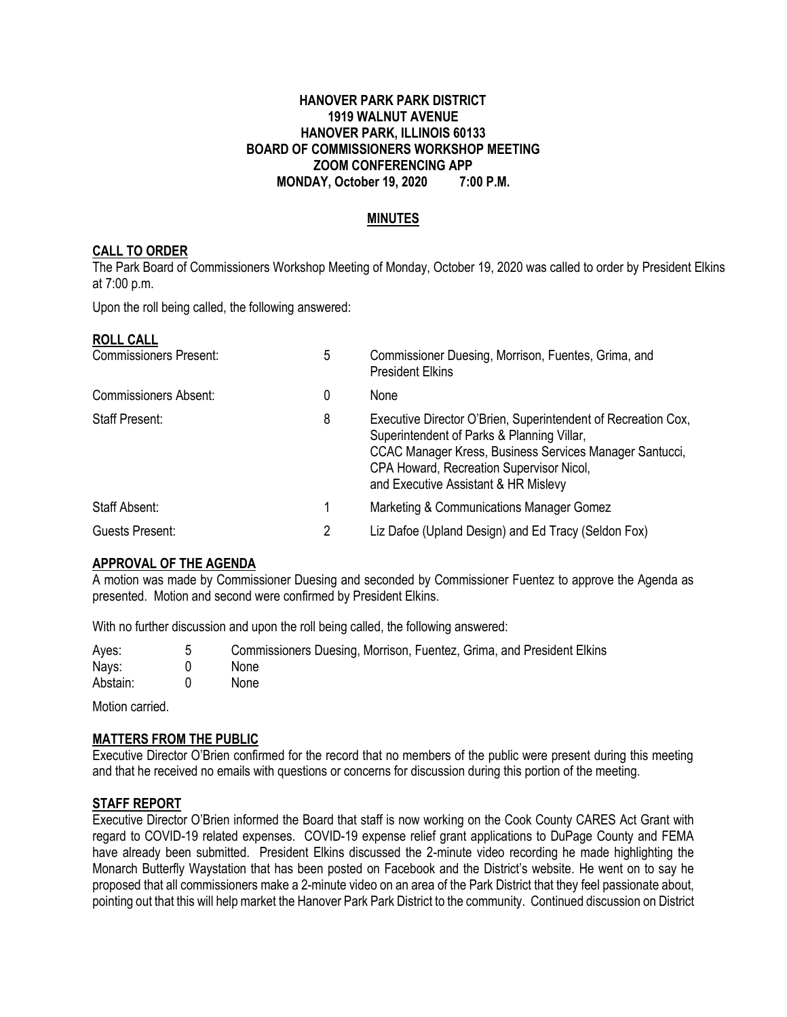### **HANOVER PARK PARK DISTRICT 1919 WALNUT AVENUE HANOVER PARK, ILLINOIS 60133 BOARD OF COMMISSIONERS WORKSHOP MEETING ZOOM CONFERENCING APP MONDAY, October 19, 2020 7:00 P.M.**

### **MINUTES**

### **CALL TO ORDER**

The Park Board of Commissioners Workshop Meeting of Monday, October 19, 2020 was called to order by President Elkins at 7:00 p.m.

Upon the roll being called, the following answered:

#### **ROLL CALL**

| <b>Commissioners Present:</b> | 5 | Commissioner Duesing, Morrison, Fuentes, Grima, and<br><b>President Elkins</b>                                                                                                                                                                             |  |
|-------------------------------|---|------------------------------------------------------------------------------------------------------------------------------------------------------------------------------------------------------------------------------------------------------------|--|
| <b>Commissioners Absent:</b>  | 0 | None                                                                                                                                                                                                                                                       |  |
| Staff Present:                | 8 | Executive Director O'Brien, Superintendent of Recreation Cox,<br>Superintendent of Parks & Planning Villar,<br>CCAC Manager Kress, Business Services Manager Santucci,<br>CPA Howard, Recreation Supervisor Nicol,<br>and Executive Assistant & HR Mislevy |  |
| Staff Absent:                 |   | Marketing & Communications Manager Gomez                                                                                                                                                                                                                   |  |
| Guests Present:               | 2 | Liz Dafoe (Upland Design) and Ed Tracy (Seldon Fox)                                                                                                                                                                                                        |  |

### **APPROVAL OF THE AGENDA**

A motion was made by Commissioner Duesing and seconded by Commissioner Fuentez to approve the Agenda as presented. Motion and second were confirmed by President Elkins.

With no further discussion and upon the roll being called, the following answered:

| Ayes:    | Commissioners Duesing, Morrison, Fuentez, Grima, and President Elkins |
|----------|-----------------------------------------------------------------------|
| Nays:    | <b>None</b>                                                           |
| Abstain: | <b>None</b>                                                           |

Motion carried.

### **MATTERS FROM THE PUBLIC**

Executive Director O'Brien confirmed for the record that no members of the public were present during this meeting and that he received no emails with questions or concerns for discussion during this portion of the meeting.

### **STAFF REPORT**

Executive Director O'Brien informed the Board that staff is now working on the Cook County CARES Act Grant with regard to COVID-19 related expenses. COVID-19 expense relief grant applications to DuPage County and FEMA have already been submitted. President Elkins discussed the 2-minute video recording he made highlighting the Monarch Butterfly Waystation that has been posted on Facebook and the District's website. He went on to say he proposed that all commissioners make a 2-minute video on an area of the Park District that they feel passionate about, pointing out that this will help market the Hanover Park Park District to the community. Continued discussion on District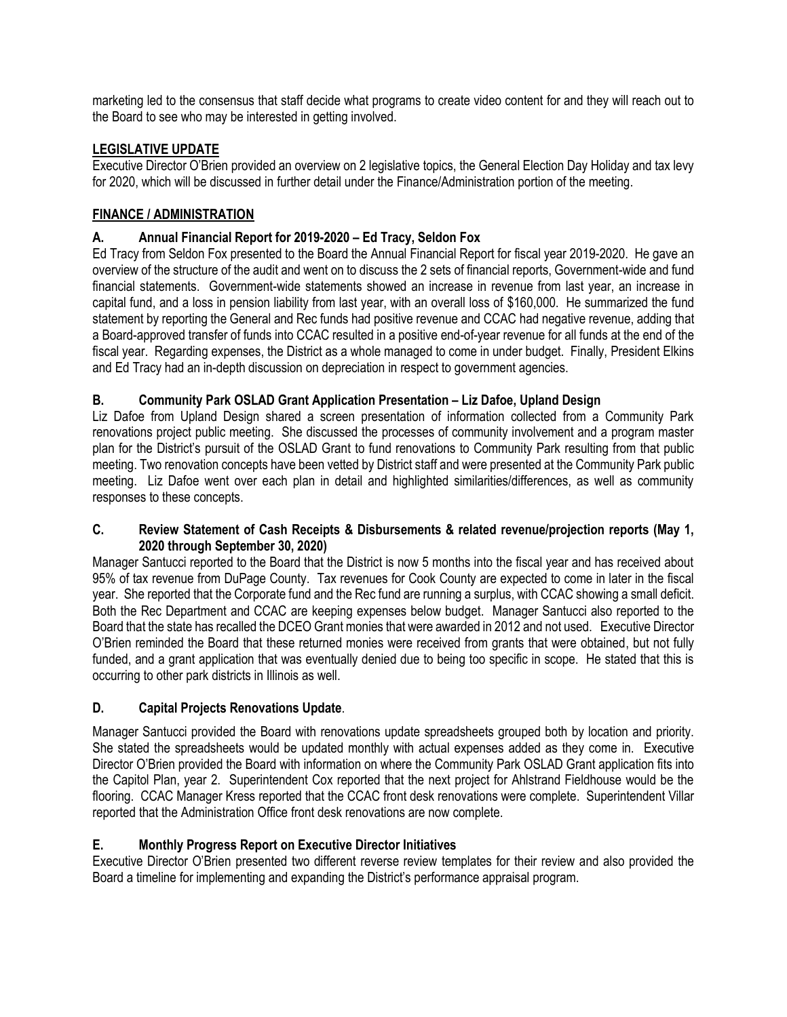marketing led to the consensus that staff decide what programs to create video content for and they will reach out to the Board to see who may be interested in getting involved.

# **LEGISLATIVE UPDATE**

Executive Director O'Brien provided an overview on 2 legislative topics, the General Election Day Holiday and tax levy for 2020, which will be discussed in further detail under the Finance/Administration portion of the meeting.

## **FINANCE / ADMINISTRATION**

## **A. Annual Financial Report for 2019-2020 – Ed Tracy, Seldon Fox**

Ed Tracy from Seldon Fox presented to the Board the Annual Financial Report for fiscal year 2019-2020. He gave an overview of the structure of the audit and went on to discuss the 2 sets of financial reports, Government-wide and fund financial statements. Government-wide statements showed an increase in revenue from last year, an increase in capital fund, and a loss in pension liability from last year, with an overall loss of \$160,000. He summarized the fund statement by reporting the General and Rec funds had positive revenue and CCAC had negative revenue, adding that a Board-approved transfer of funds into CCAC resulted in a positive end-of-year revenue for all funds at the end of the fiscal year. Regarding expenses, the District as a whole managed to come in under budget. Finally, President Elkins and Ed Tracy had an in-depth discussion on depreciation in respect to government agencies.

## **B. Community Park OSLAD Grant Application Presentation – Liz Dafoe, Upland Design**

Liz Dafoe from Upland Design shared a screen presentation of information collected from a Community Park renovations project public meeting. She discussed the processes of community involvement and a program master plan for the District's pursuit of the OSLAD Grant to fund renovations to Community Park resulting from that public meeting. Two renovation concepts have been vetted by District staff and were presented at the Community Park public meeting. Liz Dafoe went over each plan in detail and highlighted similarities/differences, as well as community responses to these concepts.

### **C. Review Statement of Cash Receipts & Disbursements & related revenue/projection reports (May 1, 2020 through September 30, 2020)**

Manager Santucci reported to the Board that the District is now 5 months into the fiscal year and has received about 95% of tax revenue from DuPage County. Tax revenues for Cook County are expected to come in later in the fiscal year. She reported that the Corporate fund and the Rec fund are running a surplus, with CCAC showing a small deficit. Both the Rec Department and CCAC are keeping expenses below budget. Manager Santucci also reported to the Board that the state has recalled the DCEO Grant monies that were awarded in 2012 and not used. Executive Director O'Brien reminded the Board that these returned monies were received from grants that were obtained, but not fully funded, and a grant application that was eventually denied due to being too specific in scope. He stated that this is occurring to other park districts in Illinois as well.

## **D. Capital Projects Renovations Update**.

Manager Santucci provided the Board with renovations update spreadsheets grouped both by location and priority. She stated the spreadsheets would be updated monthly with actual expenses added as they come in. Executive Director O'Brien provided the Board with information on where the Community Park OSLAD Grant application fits into the Capitol Plan, year 2. Superintendent Cox reported that the next project for Ahlstrand Fieldhouse would be the flooring. CCAC Manager Kress reported that the CCAC front desk renovations were complete. Superintendent Villar reported that the Administration Office front desk renovations are now complete.

## **E. Monthly Progress Report on Executive Director Initiatives**

Executive Director O'Brien presented two different reverse review templates for their review and also provided the Board a timeline for implementing and expanding the District's performance appraisal program.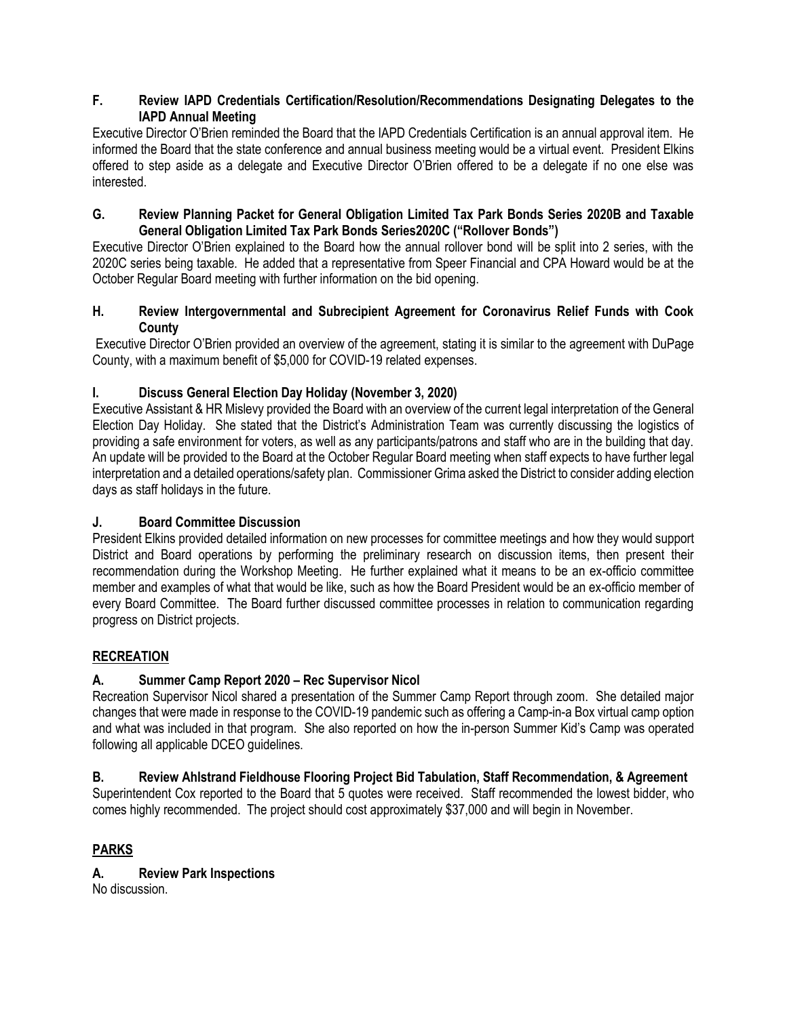## **F. Review IAPD Credentials Certification/Resolution/Recommendations Designating Delegates to the IAPD Annual Meeting**

Executive Director O'Brien reminded the Board that the IAPD Credentials Certification is an annual approval item. He informed the Board that the state conference and annual business meeting would be a virtual event. President Elkins offered to step aside as a delegate and Executive Director O'Brien offered to be a delegate if no one else was interested.

### **G. Review Planning Packet for General Obligation Limited Tax Park Bonds Series 2020B and Taxable General Obligation Limited Tax Park Bonds Series2020C ("Rollover Bonds")**

Executive Director O'Brien explained to the Board how the annual rollover bond will be split into 2 series, with the 2020C series being taxable. He added that a representative from Speer Financial and CPA Howard would be at the October Regular Board meeting with further information on the bid opening.

## **H. Review Intergovernmental and Subrecipient Agreement for Coronavirus Relief Funds with Cook County**

Executive Director O'Brien provided an overview of the agreement, stating it is similar to the agreement with DuPage County, with a maximum benefit of \$5,000 for COVID-19 related expenses.

# **I. Discuss General Election Day Holiday (November 3, 2020)**

Executive Assistant & HR Mislevy provided the Board with an overview of the current legal interpretation of the General Election Day Holiday. She stated that the District's Administration Team was currently discussing the logistics of providing a safe environment for voters, as well as any participants/patrons and staff who are in the building that day. An update will be provided to the Board at the October Regular Board meeting when staff expects to have further legal interpretation and a detailed operations/safety plan.Commissioner Grima asked the District to consider adding election days as staff holidays in the future.

# **J. Board Committee Discussion**

President Elkins provided detailed information on new processes for committee meetings and how they would support District and Board operations by performing the preliminary research on discussion items, then present their recommendation during the Workshop Meeting. He further explained what it means to be an ex-officio committee member and examples of what that would be like, such as how the Board President would be an ex-officio member of every Board Committee. The Board further discussed committee processes in relation to communication regarding progress on District projects.

# **RECREATION**

# **A. Summer Camp Report 2020 – Rec Supervisor Nicol**

Recreation Supervisor Nicol shared a presentation of the Summer Camp Report through zoom. She detailed major changes that were made in response to the COVID-19 pandemic such as offering a Camp-in-a Box virtual camp option and what was included in that program. She also reported on how the in-person Summer Kid's Camp was operated following all applicable DCEO guidelines.

# **B. Review Ahlstrand Fieldhouse Flooring Project Bid Tabulation, Staff Recommendation, & Agreement**

Superintendent Cox reported to the Board that 5 quotes were received. Staff recommended the lowest bidder, who comes highly recommended. The project should cost approximately \$37,000 and will begin in November.

# **PARKS**

**A. Review Park Inspections** No discussion.